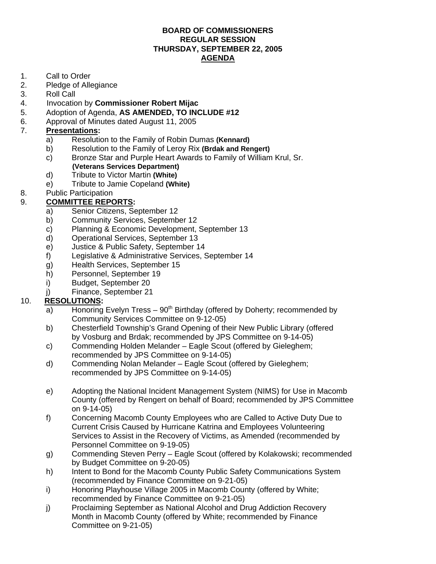#### **BOARD OF COMMISSIONERS REGULAR SESSION THURSDAY, SEPTEMBER 22, 2005 AGENDA**

- 1. Call to Order
- 2. Pledge of Allegiance<br>3. Roll Call
- Roll Call
- 4. Invocation by **Commissioner Robert Mijac**
- 5. Adoption of Agenda, **AS AMENDED, TO INCLUDE #12**
- 6. Approval of Minutes dated August 11, 2005

### 7. **Presentations:**

- a) Resolution to the Family of Robin Dumas **(Kennard)**
- b) Resolution to the Family of Leroy Rix **(Brdak and Rengert)**
- c) Bronze Star and Purple Heart Awards to Family of William Krul, Sr. **(Veterans Services Department)**
- d) Tribute to Victor Martin **(White)**
- e) Tribute to Jamie Copeland **(White)**
- 8. Public Participation
- 9. **COMMITTEE REPORTS:**
	- a) Senior Citizens, September 12
	- b) Community Services, September 12
	- c) Planning & Economic Development, September 13
	- d) Operational Services, September 13
	- e) Justice & Public Safety, September 14
	- f) Legislative & Administrative Services, September 14
	- g) Health Services, September 15
	- h) Personnel, September 19
	- i) Budget, September 20
	- j) Finance, September 21

### 10. **RESOLUTIONS:**

- a) Honoring Evelyn Tress  $90<sup>th</sup>$  Birthday (offered by Doherty; recommended by Community Services Committee on 9-12-05)
- b) Chesterfield Township's Grand Opening of their New Public Library (offered by Vosburg and Brdak; recommended by JPS Committee on 9-14-05)
- c) Commending Holden Melander Eagle Scout (offered by Gieleghem; recommended by JPS Committee on 9-14-05)
- d) Commending Nolan Melander Eagle Scout (offered by Gieleghem; recommended by JPS Committee on 9-14-05)
- e) Adopting the National Incident Management System (NIMS) for Use in Macomb County (offered by Rengert on behalf of Board; recommended by JPS Committee on 9-14-05)
- f) Concerning Macomb County Employees who are Called to Active Duty Due to Current Crisis Caused by Hurricane Katrina and Employees Volunteering Services to Assist in the Recovery of Victims, as Amended (recommended by Personnel Committee on 9-19-05)
- g) Commending Steven Perry Eagle Scout (offered by Kolakowski; recommended by Budget Committee on 9-20-05)
- h) Intent to Bond for the Macomb County Public Safety Communications System (recommended by Finance Committee on 9-21-05)
- i) Honoring Playhouse Village 2005 in Macomb County (offered by White; recommended by Finance Committee on 9-21-05)
- j) Proclaiming September as National Alcohol and Drug Addiction Recovery Month in Macomb County (offered by White; recommended by Finance Committee on 9-21-05)